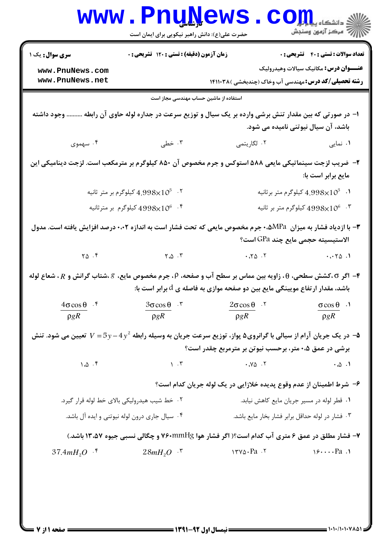| <b>سری سوال :</b> یک ۱                                           | <b>زمان آزمون (دقیقه) : تستی : 120 تشریحی : 0</b>                                                                                                                                       |                                                                     | <b>تعداد سوالات : تستی : 40 - تشریحی : 0</b>                                                                |
|------------------------------------------------------------------|-----------------------------------------------------------------------------------------------------------------------------------------------------------------------------------------|---------------------------------------------------------------------|-------------------------------------------------------------------------------------------------------------|
| www.PnuNews.com<br>www.PnuNews.net                               |                                                                                                                                                                                         |                                                                     | <b>عنـــوان درس:</b> مکانیک سیالات وهیدرولیک<br><b>رشته تحصیلی/کد درس:</b> مهندسی آب وخاک (چندبخشی )۱۴۱۱۰۳۸ |
|                                                                  | استفاده از ماشین حساب مهندسی مجاز است                                                                                                                                                   |                                                                     |                                                                                                             |
|                                                                  | ا– در صورتی که بین مقدار تنش برشی وارده بر یک سیال و توزیع سرعت در جداره لوله حاوی آن رابطه  وجود داشته                                                                                 |                                                                     | باشد، آن سیال نیوتنی نامیده می شود.                                                                         |
| ۰۴ سهموی                                                         | ۰۳ خطی                                                                                                                                                                                  | ۰۲ لگاریتمی                                                         | ۰۱ نمایی                                                                                                    |
|                                                                  | ۲– ضریب لزجت سینماتیکی مایعی ۵۸۸ استوکس و جرم مخصوص آن ۸۵۰ کیلوگرم بر مترمکعب است. لزجت دینامیکی این                                                                                    |                                                                     | مايع برابر است با:                                                                                          |
|                                                                  | 4.998 $\times10^5$ ۰۲ کیلوگرم بر متر ثانیه                                                                                                                                              |                                                                     | د $4.998\times10^5$ کیلوگرم متر برثانیه $\,$                                                                |
|                                                                  | یلوگرم بر مترثانیه $4998\!\!\times\!\!10^6$ $\,$ $\,$ $\,$                                                                                                                              |                                                                     | د 10°4998 کیلوگرم متر بر ثانیه $4998\times$ 10°                                                             |
|                                                                  | ۳- با ازدیاد فشار به میزان  MPa،۰%م جرم مخصوص مایعی که تحت فشار است به اندازه ۰،۰۲ درصد افزایش یافته است. مدول                                                                          |                                                                     | الاستيسيته حجمي مايع چند GPa است؟                                                                           |
| $\begin{bmatrix} 0 & \cdots & 0 \\ 0 & \cdots & 0 \end{bmatrix}$ | $Y \cdot \Delta \cdot Y$                                                                                                                                                                | $\cdot$ $\cdot$ $\cdot$ $\cdot$ $\cdot$ $\cdot$                     | .0001                                                                                                       |
|                                                                  |                                                                                                                                                                                         |                                                                     |                                                                                                             |
|                                                                  | ۴- اگر ٢،کشش سطحی، θ، زاویه بین مماس بر سطح آب و صفحه، P، جرم مخصوص مایع، ۶،شتاب گرانش و R، شعاع لوله<br>باشد، مقدار ارتفاع مویینگی مایع بین دو صفحه موازی به فاصله ی $d$ برابر است با: |                                                                     |                                                                                                             |
| $4\sigma \cos \theta$ f                                          | $3\sigma \cos \theta$ .                                                                                                                                                                 | $2\sigma \cos \theta$ .                                             | $\sigma \cos \theta$ .                                                                                      |
| $\rho g R$                                                       | $\rho g R$                                                                                                                                                                              | $\rho g R$                                                          | $\rho g R$                                                                                                  |
|                                                                  | م- در یک جریان آرام از سیالی با گرانروی۵ پواز، توزیع سرعت جریان به وسیله رابطه $y-4\,y^2-7\,y-$ تعیین می شود. تنش $\sim$                                                                |                                                                     |                                                                                                             |
|                                                                  |                                                                                                                                                                                         | برشی در عمق ۰،۵ متر، برحسب نیوتن بر مترمربع چقدر است؟               |                                                                                                             |
| 1.0.5                                                            | $\lambda$ $\Lambda$                                                                                                                                                                     | .90.7                                                               | $\cdot \omega \cdot \mathcal{N}$                                                                            |
|                                                                  |                                                                                                                                                                                         | ۶– شرط اطمینان از عدم وقوع پدیده خلازایی در یک لوله جریان کدام است؟ |                                                                                                             |
| ۰۲ خط شیب هیدرولیکی بالای خط لوله قرار گیرد.                     |                                                                                                                                                                                         |                                                                     | ۰۱ قطر لوله در مسیر جریان مایع کاهش نیابد.                                                                  |
|                                                                  | ۰۴ سیال جاری درون لوله نیوتنی و ایده آل باشد.                                                                                                                                           |                                                                     | ۰۳ فشار در لوله حداقل برابر فشار بخار مايع باشد.                                                            |
|                                                                  | ۷- فشار مطلق در عمق ۶ متری آب کدام است؟( اگر فشار هوا ۷۶۰mmHg و چگالی نسبی جیوه ۱۳،۵۷ باشد.)                                                                                            |                                                                     |                                                                                                             |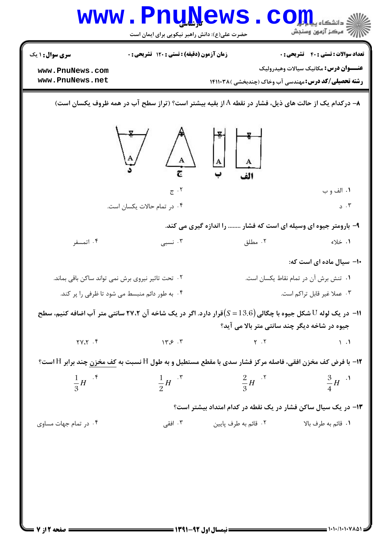|                                                   | <b>www.PnuNews</b><br>حضرت علی(ع): دانش راهبر نیکویی برای ایمان است                                             |                                                                                                                                                                                  | $\bullet$ $\text{COH}$<br>ر آمرڪز آزمون وسنڊش |
|---------------------------------------------------|-----------------------------------------------------------------------------------------------------------------|----------------------------------------------------------------------------------------------------------------------------------------------------------------------------------|-----------------------------------------------|
| <b>سری سوال : ۱ یک</b>                            | زمان آزمون (دقیقه) : تستی : 120 تشریحی : 0                                                                      |                                                                                                                                                                                  | <b>تعداد سوالات : تستي : 40 قشريحي : 0</b>    |
| www.PnuNews.com                                   |                                                                                                                 |                                                                                                                                                                                  | <b>عنـــوان درس:</b> مکانیک سیالات وهیدرولیک  |
| www.PnuNews.net                                   |                                                                                                                 | <b>رشته تحصیلی/کد درس:</b> مهندسی آب وخاک (چندبخشی )۱۴۱۱۰۳۸                                                                                                                      |                                               |
|                                                   |                                                                                                                 | ۸− درکدام یک از حالت های ذیل، فشار در نقطه A از بقیه بیشتر است؟ (تراز سطح آب در همه ظروف یکسان است)                                                                              |                                               |
|                                                   | $\begin{array}{ccc}\n\mathbb{Z} & \mathbb{A} & \mathbb{Z} \\ \mathbb{Z} & \mathbb{Z} & \mathbb{Z}\n\end{array}$ |                                                                                                                                                                                  |                                               |
|                                                   | ۰۲ ج                                                                                                            |                                                                                                                                                                                  | ١. الف و ب                                    |
|                                                   | ۰۴ در تمام حالات یکسان است.                                                                                     |                                                                                                                                                                                  | 3.7                                           |
|                                                   |                                                                                                                 | ۹- بارومتر جیوه ای وسیله ای است که فشار  را اندازه گیری می کند.                                                                                                                  |                                               |
| ۰۴ اتمسفر                                         | ۰۳ نسبی $\cdot$                                                                                                 | ۰۲ مطلق                                                                                                                                                                          | ۱. خلاء                                       |
|                                                   |                                                                                                                 |                                                                                                                                                                                  | +۱- سیال ماده ای است که:                      |
| ۰۲ تحت تاثیر نیروی برش نمی تواند ساکن باقی بماند. |                                                                                                                 |                                                                                                                                                                                  | ٠١ تنش برش آن در تمام نقاط يكسان است.         |
|                                                   | ۰۴ به طور دائم منبسط می شود تا ظرفی را پر کند.                                                                  |                                                                                                                                                                                  | ۰۳ عملا غیر قابل تراکم است.                   |
|                                                   |                                                                                                                 | ا – در یک لوله ${\rm U}$ شکل جیوه با چگالی ${\rm (}S=13.6{\rm )}$ قرار دارد. اگر در یک شاخه آن ۲۷،۲ سانتی متر آب اضافه کنیم، سطح<br>جیوه در شاخه دیگر چند سانتی متر بالا می آید؟ |                                               |
| $Y \cdot Y \cdot Y$                               | $14.5$ .                                                                                                        | $Y \cdot Y$                                                                                                                                                                      | $\setminus$ .                                 |
|                                                   |                                                                                                                 | <b>۱۲</b> - با فرض کف مخزن افقی، فاصله مرکز فشار سدی با مقطع مستطیل و به طول H نسبت به کف مخزن چند برابر H است؟                                                                  |                                               |
| $\frac{1}{3}H$ $\cdot$ $\frac{1}{3}$              | $\frac{1}{2}H$ $\cdot$ $\cdot$                                                                                  | $rac{2}{3}H$ $\cdot$ $\cdot$                                                                                                                                                     | $\frac{3}{4}H^{-1}$                           |
|                                                   |                                                                                                                 | ۱۳- در یک سیال ساکن فشار در یک نقطه در کدام امتداد بیشتر است؟                                                                                                                    |                                               |
| ۰۴ در تمام جهات مساوی                             | ۰۳ افقی                                                                                                         | ۰۲ قائم به طرف پایین                                                                                                                                                             | ٠١ قائم به طرف بالا                           |
|                                                   |                                                                                                                 |                                                                                                                                                                                  |                                               |
|                                                   |                                                                                                                 |                                                                                                                                                                                  |                                               |
|                                                   |                                                                                                                 |                                                                                                                                                                                  |                                               |
|                                                   |                                                                                                                 |                                                                                                                                                                                  |                                               |
|                                                   |                                                                                                                 |                                                                                                                                                                                  |                                               |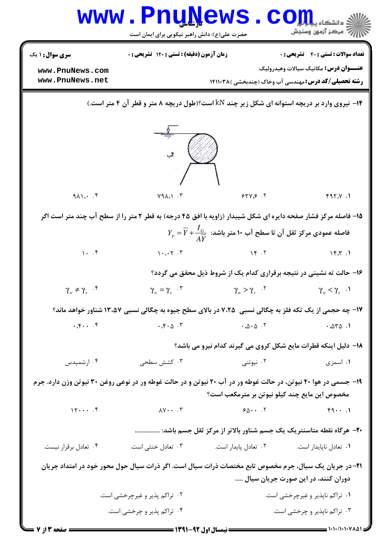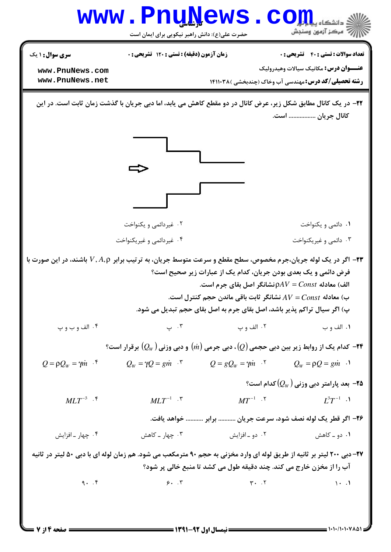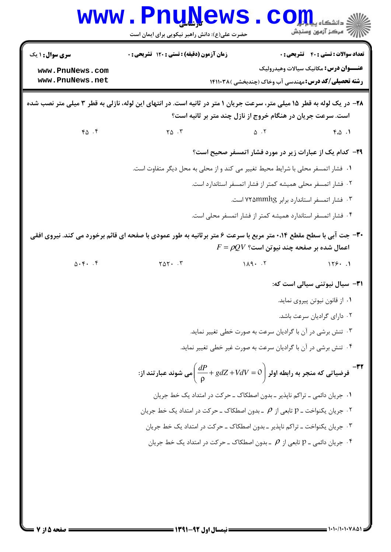|                                              | www.PnuNews<br>حضرت علی(ع): دانش راهبر نیکویی برای ایمان است                                                          | ي<br>ئ دانشکاه پ <b>یا بالو</b><br>أأآت مركز آزمون وسنجش                                                    |
|----------------------------------------------|-----------------------------------------------------------------------------------------------------------------------|-------------------------------------------------------------------------------------------------------------|
| <b>سری سوال : ۱ یک</b>                       | زمان آزمون (دقیقه) : تستی : ۱۲۰ تشریحی : ۰                                                                            | <b>تعداد سوالات : تستي : 40 - تشريحي : 0</b>                                                                |
| www.PnuNews.com<br>www.PnuNews.net           |                                                                                                                       | <b>عنـــوان درس:</b> مکانیک سیالات وهیدرولیک<br><b>رشته تحصیلی/کد درس:</b> مهندسی آب وخاک (چندبخشی )۱۴۱۱۰۳۸ |
|                                              | ۲۸- در یک لوله به قطر ۱۵ میلی متر، سرعت جریان ۱ متر در ثانیه است. در انتهای این لوله، نازلی به قطر ۳ میلی متر نصب شده | است. سرعت جریان در هنگام خروج از نازل چند متر بر ثانیه است؟                                                 |
| $Y \Delta$ .                                 | $\uparrow \vartriangle$ $\cdot \uparrow$                                                                              | $\Delta$ . T<br>$F \cdot \Delta$ .                                                                          |
|                                              |                                                                                                                       | <b>۲۹</b> - کدام یک از عبارات زیر در مورد فشار اتمسفر صحیح است؟                                             |
|                                              | ٠١ فشار اتمسفر محلي با شرايط محيط تغيير مي كند و از محلي به محل ديگر متفاوت است.                                      |                                                                                                             |
|                                              |                                                                                                                       | ۰۲ فشار اتمسفر محلی همیشه کمتر از فشار اتمسفر استاندارد است.                                                |
|                                              |                                                                                                                       | ۰۳ فشار اتمسفر استاندارد برابر ۷۲۵mmhg است.                                                                 |
|                                              |                                                                                                                       | ۰۴ فشار اتمسفر استاندارد همیشه کمتر از فشار اتمسفر محلی است.                                                |
|                                              | ۳۰- جت آبی با سطح مقطع ۰،۱۴ متر مربع با سرعت ۶ متر برثانیه به طور عمودی با صفحه ای قائم برخورد می کند. نیروی افقی     | $F=\rho QV$ اعمال شده بر صفحه چند نیوتن است؟                                                                |
| $\Delta \cdot \mathfrak{f}$ . $\mathfrak{f}$ |                                                                                                                       | $Y \triangle Y$ . $Y$ $\qquad \qquad 119.1$                                                                 |
|                                              |                                                                                                                       | ۳۱- سیال نیوتنی سیالی است که:                                                                               |
|                                              |                                                                                                                       | ۰۱ از قانون نیوتن پیروی نماید.                                                                              |
|                                              |                                                                                                                       | ۰۲ دارای گرادیان سرعت باشد.                                                                                 |
|                                              |                                                                                                                       | ۰۳ تنش برشی در آن با گرادیان سرعت به صورت خطی تغییر نماید.                                                  |
|                                              |                                                                                                                       | ۰۴ تنش برشی در آن با گرادیان سرعت به صورت غیر خطی تغییر نماید.                                              |
|                                              |                                                                                                                       | -۳۲<br>فرضیاتی که منجر به رابطه اولر $\left(\frac{dP}{\rho} + gdZ + VdV = \right)$ می شوند عبار تند از:     |
|                                              |                                                                                                                       | ۰۱ جریان دائمی ــ تراکم ناپذیر ــ بدون اصطکاک ــ حرکت در امتداد یک خط جریان                                 |
|                                              |                                                                                                                       | ۰۲ جریان یکنواخت ـ p تابعی از $\rho$ ـ بدون اصطکاک ـ حرکت در امتداد یک خط جریان $\cdot$ ۲                   |
|                                              |                                                                                                                       | ۰۳ جریان یکنواخت ــ تراکم ناپذیر ــ بدون اصطکاک ــ حرکت در امتداد یک خط جریان                               |
|                                              |                                                                                                                       | ۰۴ جریان دائمی ـ p تابعی از $\rho$ ـ بدون اصطکاک ـ حرکت در امتداد یک خط جریان $\cdot$ ۴                     |
|                                              |                                                                                                                       |                                                                                                             |
|                                              |                                                                                                                       |                                                                                                             |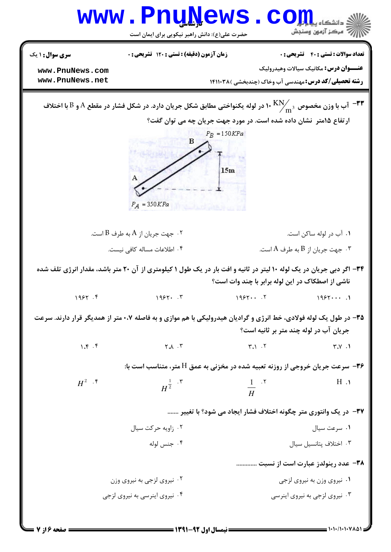|                                    | <b>www.PnuNews</b><br>حضرت علی(ع): دانش راهبر نیکویی برای ایمان است |                               | رُ ۖ مرڪز آزمون وسنڊش                                                                                                                                                                              |
|------------------------------------|---------------------------------------------------------------------|-------------------------------|----------------------------------------------------------------------------------------------------------------------------------------------------------------------------------------------------|
| <b>سری سوال : ۱ یک</b>             | زمان آزمون (دقیقه) : تستی : 120 تشریحی : 0                          |                               | <b>تعداد سوالات : تستي : 40 قشريحي : 0</b>                                                                                                                                                         |
| www.PnuNews.com<br>www.PnuNews.net |                                                                     |                               | <b>عنـــوان درس:</b> مکانیک سیالات وهیدرولیک<br><b>رشته تحصیلی/کد درس: مهندسی آب وخاک (چندبخشی )۱۴۱۱۰۳۸</b>                                                                                        |
|                                    |                                                                     | $P_R = 150KPa$                | آب با وزن مخصوص $\rm K N_{\rm m^3}$ ۱۰ در لوله یکنواختی مطابق شکل جریان دارد. در شکل فشار در مقطع A و B با اختلاف $^{-\P \P}$<br>ارتفاع ۱۵متر نشان داده شده است. در مورد جهت جریان چه می توان گفت؟ |
|                                    | $P_A = 350KPa$                                                      | 15m                           |                                                                                                                                                                                                    |
|                                    | ۰۲ جهت جريان از A به طرف B است. $\,$                                |                               | ۰۱ آب در لوله ساکن است.                                                                                                                                                                            |
|                                    | ۰۴ اطلاعات مساله كافي نيست.                                         |                               | ۰۳ جهت جريان از $\mathrm{B}$ به طرف $\mathrm{A}$ است. $^\mathrm{v}$                                                                                                                                |
|                                    |                                                                     |                               | ۳۴- اگر دبی جریان در یک لوله ۱۰ لیتر در ثانیه و افت بار در یک طول ۱ کیلومتری از آن ۲۰ متر باشد، مقدار انرژی تلف شده<br>ناشی از اصطکاک در این لوله برابر با چند وات است؟                            |
| 1957.9                             | 1955.7                                                              | 1955                          | 1955                                                                                                                                                                                               |
|                                    |                                                                     |                               | ۳۵- در طول یک لوله فولادی، خط انرژی و گرادیان هیدرولیکی با هم موازی و به فاصله ۰،۷ متر از همدیگر قرار دارند. سرعت<br>جریان آب در لوله چند متر بر ثانیه است؟                                        |
| 1.5                                | $\uparrow \mathcal{A}$ . $\uparrow$                                 | $\mathsf{r}_i$ $\mathsf{r}_i$ | Y.Y.1                                                                                                                                                                                              |
|                                    |                                                                     |                               | ۳۶- سرعت جریان خروجی از روزنه تعبیه شده در مخزنی به عمق H متر، متناسب است با:                                                                                                                      |
| $H^2$ . $\mathfrak k$              | $H^{\frac{1}{2}}$ .                                                 | $\frac{1}{H}$ . $\zeta$       | $H \cdot Y$                                                                                                                                                                                        |
|                                    |                                                                     |                               | ۳۷- در یک وانتوری متر چگونه اختلاف فشار ایجاد می شود؟ با تغییر                                                                                                                                     |
|                                    | ۰۲ زاویه حرکت سیال                                                  |                               | ۰۱ سرعت سیال                                                                                                                                                                                       |
|                                    | ۰۴ جنس لوله                                                         |                               | ٠٣ اختلاف يتانسيل سيال                                                                                                                                                                             |
|                                    |                                                                     |                               | ۳۸- عدد رینولدز عبارت است از نسبت                                                                                                                                                                  |
|                                    | ۰۲ نیروی لزجی به نیروی وزن                                          |                               | ۰۱ نیروی وزن به نیروی لزجی                                                                                                                                                                         |
|                                    | ۰۴ نیروی اینرسی به نیروی لزجی                                       |                               | ۰۳ نیروی لزجی به نیروی اینرسی                                                                                                                                                                      |